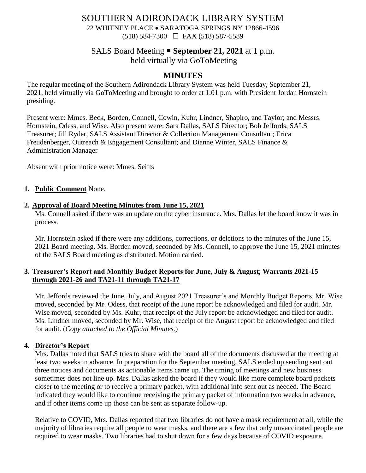# SOUTHERN ADIRONDACK LIBRARY SYSTEM

22 WHITNEY PLACE • SARATOGA SPRINGS NY 12866-4596 (518) 584-7300 FAX (518) 587-5589

### SALS Board Meeting **September 21, 2021** at 1 p.m.

held virtually via GoToMeeting

## **MINUTES**

The regular meeting of the Southern Adirondack Library System was held Tuesday, September 21, 2021, held virtually via GoToMeeting and brought to order at 1:01 p.m. with President Jordan Hornstein presiding.

Present were: Mmes. Beck, Borden, Connell, Cowin, Kuhr, Lindner, Shapiro, and Taylor; and Messrs. Hornstein, Odess, and Wise. Also present were: Sara Dallas, SALS Director; Bob Jeffords, SALS Treasurer; Jill Ryder, SALS Assistant Director & Collection Management Consultant; Erica Freudenberger, Outreach & Engagement Consultant; and Dianne Winter, SALS Finance & Administration Manager

Absent with prior notice were: Mmes. Seifts

### **1. Public Comment** None.

#### **2. Approval of Board Meeting Minutes from June 15, 2021**

Ms. Connell asked if there was an update on the cyber insurance. Mrs. Dallas let the board know it was in process.

Mr. Hornstein asked if there were any additions, corrections, or deletions to the minutes of the June 15, 2021 Board meeting. Ms. Borden moved, seconded by Ms. Connell, to approve the June 15, 2021 minutes of the SALS Board meeting as distributed. Motion carried.

### **3. Treasurer's Report and Monthly Budget Reports for June, July & August**; **Warrants 2021-15 through 2021-26 and TA21-11 through TA21-17**

Mr. Jeffords reviewed the June, July, and August 2021 Treasurer's and Monthly Budget Reports. Mr. Wise moved, seconded by Mr. Odess, that receipt of the June report be acknowledged and filed for audit. Mr. Wise moved, seconded by Ms. Kuhr, that receipt of the July report be acknowledged and filed for audit. Ms. Lindner moved, seconded by Mr. Wise, that receipt of the August report be acknowledged and filed for audit. (*Copy attached to the Official Minutes.*)

### **4. Director's Report**

Mrs. Dallas noted that SALS tries to share with the board all of the documents discussed at the meeting at least two weeks in advance. In preparation for the September meeting, SALS ended up sending sent out three notices and documents as actionable items came up. The timing of meetings and new business sometimes does not line up. Mrs. Dallas asked the board if they would like more complete board packets closer to the meeting or to receive a primary packet, with additional info sent out as needed. The Board indicated they would like to continue receiving the primary packet of information two weeks in advance, and if other items come up those can be sent as separate follow-up.

Relative to COVID, Mrs. Dallas reported that two libraries do not have a mask requirement at all, while the majority of libraries require all people to wear masks, and there are a few that only unvaccinated people are required to wear masks. Two libraries had to shut down for a few days because of COVID exposure.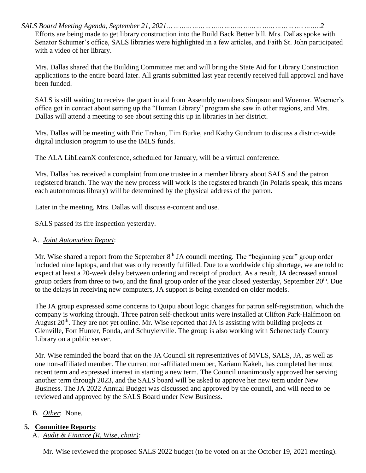*SALS Board Meeting Agenda, September 21, 2021………………………………………………………..……..2*

Efforts are being made to get library construction into the Build Back Better bill. Mrs. Dallas spoke with Senator Schumer's office, SALS libraries were highlighted in a few articles, and Faith St. John participated with a video of her library.

Mrs. Dallas shared that the Building Committee met and will bring the State Aid for Library Construction applications to the entire board later. All grants submitted last year recently received full approval and have been funded.

SALS is still waiting to receive the grant in aid from Assembly members Simpson and Woerner. Woerner's office got in contact about setting up the "Human Library" program she saw in other regions, and Mrs. Dallas will attend a meeting to see about setting this up in libraries in her district.

Mrs. Dallas will be meeting with Eric Trahan, Tim Burke, and Kathy Gundrum to discuss a district-wide digital inclusion program to use the IMLS funds.

The ALA LibLearnX conference, scheduled for January, will be a virtual conference.

Mrs. Dallas has received a complaint from one trustee in a member library about SALS and the patron registered branch. The way the new process will work is the registered branch (in Polaris speak, this means each autonomous library) will be determined by the physical address of the patron.

Later in the meeting, Mrs. Dallas will discuss e-content and use.

SALS passed its fire inspection yesterday.

### A. *Joint Automation Report*:

Mr. Wise shared a report from the September  $8<sup>th</sup>$  JA council meeting. The "beginning year" group order included nine laptops, and that was only recently fulfilled. Due to a worldwide chip shortage, we are told to expect at least a 20-week delay between ordering and receipt of product. As a result, JA decreased annual group orders from three to two, and the final group order of the year closed yesterday, September 20<sup>th</sup>. Due to the delays in receiving new computers, JA support is being extended on older models.

The JA group expressed some concerns to Quipu about logic changes for patron self-registration, which the company is working through. Three patron self-checkout units were installed at Clifton Park-Halfmoon on August  $20<sup>th</sup>$ . They are not yet online. Mr. Wise reported that JA is assisting with building projects at Glenville, Fort Hunter, Fonda, and Schuylerville. The group is also working with Schenectady County Library on a public server.

Mr. Wise reminded the board that on the JA Council sit representatives of MVLS, SALS, JA, as well as one non-affiliated member. The current non-affiliated member, Kariann Kakeh, has completed her most recent term and expressed interest in starting a new term. The Council unanimously approved her serving another term through 2023, and the SALS board will be asked to approve her new term under New Business. The JA 2022 Annual Budget was discussed and approved by the council, and will need to be reviewed and approved by the SALS Board under New Business.

### B. *Other*: None.

### **5. Committee Reports**:

A. *Audit & Finance (R. Wise, chair):*

Mr. Wise reviewed the proposed SALS 2022 budget (to be voted on at the October 19, 2021 meeting).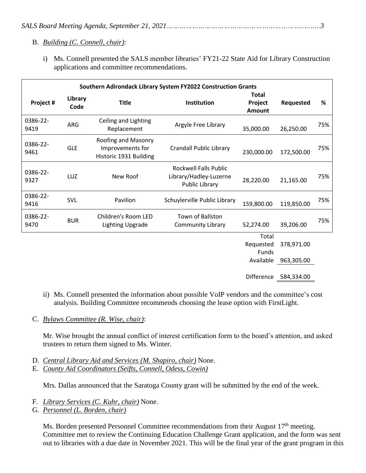### B. *Building (C. Connell, chair)*:

i) Ms. Connell presented the SALS member libraries' FY21-22 State Aid for Library Construction applications and committee recommendations.

| Southern Adirondack Library System FY2022 Construction Grants |                 |                                                                   |                                                                          |                                          |                          |     |
|---------------------------------------------------------------|-----------------|-------------------------------------------------------------------|--------------------------------------------------------------------------|------------------------------------------|--------------------------|-----|
| Project #                                                     | Library<br>Code | <b>Title</b>                                                      | Institution                                                              | <b>Total</b><br>Project<br>Amount        | Requested                | %   |
| 0386-22-<br>9419                                              | ARG             | Ceiling and Lighting<br>Replacement                               | Argyle Free Library                                                      | 35,000.00                                | 26,250.00                | 75% |
| 0386-22-<br>9461                                              | <b>GLE</b>      | Roofing and Masonry<br>Improvements for<br>Historic 1931 Building | <b>Crandall Public Library</b>                                           | 230,000.00                               | 172,500.00               | 75% |
| 0386-22-<br>9327                                              | LUZ             | New Roof                                                          | <b>Rockwell Falls Public</b><br>Library/Hadley-Luzerne<br>Public Library | 28,220.00                                | 21,165.00                | 75% |
| 0386-22-<br>9416                                              | SVL             | Pavilion                                                          | Schuylerville Public Library                                             | 159,800.00                               | 119,850.00               | 75% |
| 0386-22-<br>9470                                              | <b>BUR</b>      | Children's Room LED<br><b>Lighting Upgrade</b>                    | Town of Ballston<br>Community Library                                    | 52,274.00                                | 39,206.00                | 75% |
|                                                               |                 |                                                                   |                                                                          | Total<br>Requested<br>Funds<br>Available | 378,971.00<br>963,305.00 |     |

Difference 584,334.00

- ii) Ms. Connell presented the information about possible VoIP vendors and the committee's cost analysis. Building Committee recommends choosing the lease option with FirstLight.
- C. *Bylaws Committee (R. Wise, chair)*:

Mr. Wise brought the annual conflict of interest certification form to the board's attention, and asked trustees to return them signed to Ms. Winter.

- D. *Central Library Aid and Services (M. Shapiro, chair)* None.
- E. *County Aid Coordinators (Seifts, Connell, Odess, Cowin)*

Mrs. Dallas announced that the Saratoga County grant will be submitted by the end of the week.

- F. *Library Services (C. Kuhr, chair)* None.
- G. *Personnel (L. Borden, chair)*

Ms. Borden presented Personnel Committee recommendations from their August 17<sup>th</sup> meeting. Committee met to review the Continuing Education Challenge Grant application, and the form was sent out to libraries with a due date in November 2021. This will be the final year of the grant program in this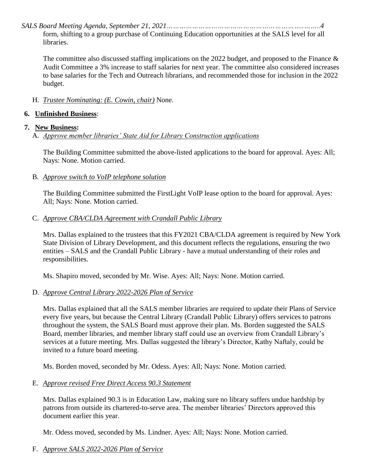*SALS Board Meeting Agenda, September 21, 2021………………………………………………………..……..4*

form, shifting to a group purchase of Continuing Education opportunities at the SALS level for all libraries.

The committee also discussed staffing implications on the 2022 budget, and proposed to the Finance & Audit Committee a 3% increase to staff salaries for next year. The committee also considered increases to base salaries for the Tech and Outreach librarians, and recommended those for inclusion in the 2022 budget.

H. *Trustee Nominating: (E. Cowin, chair)* None*.*

## **6. Unfinished Business**:

### **7. New Business:**

A. *Approve member libraries' State Aid for Library Construction applications*

The Building Committee submitted the above-listed applications to the board for approval. Ayes: All; Nays: None. Motion carried.

B. *Approve switch to VoIP telephone solution*

The Building Committee submitted the FirstLight VoIP lease option to the board for approval. Ayes: All; Nays: None. Motion carried.

## C. *Approve CBA/CLDA Agreement with Crandall Public Library*

Mrs. Dallas explained to the trustees that this FY2021 CBA/CLDA agreement is required by New York State Division of Library Development, and this document reflects the regulations, ensuring the two entities – SALS and the Crandall Public Library - have a mutual understanding of their roles and responsibilities.

Ms. Shapiro moved, seconded by Mr. Wise. Ayes: All; Nays: None. Motion carried.

# D. *Approve Central Library 2022-2026 Plan of Service*

Mrs. Dallas explained that all the SALS member libraries are required to update their Plans of Service every five years, but because the Central Library (Crandall Public Library) offers services to patrons throughout the system, the SALS Board must approve their plan. Ms. Borden suggested the SALS Board, member libraries, and member library staff could use an overview from Crandall Library's services at a future meeting. Mrs. Dallas suggested the library's Director, Kathy Naftaly, could be invited to a future board meeting.

Ms. Borden moved, seconded by Mr. Odess. Ayes: All; Nays: None. Motion carried.

# E. *Approve revised Free Direct Access 90.3 Statement*

Mrs. Dallas explained 90.3 is in Education Law, making sure no library suffers undue hardship by patrons from outside its chartered-to-serve area. The member libraries' Directors approved this document earlier this year.

Mr. Odess moved, seconded by Ms. Lindner. Ayes: All; Nays: None. Motion carried.

F. *Approve SALS 2022-2026 Plan of Service*